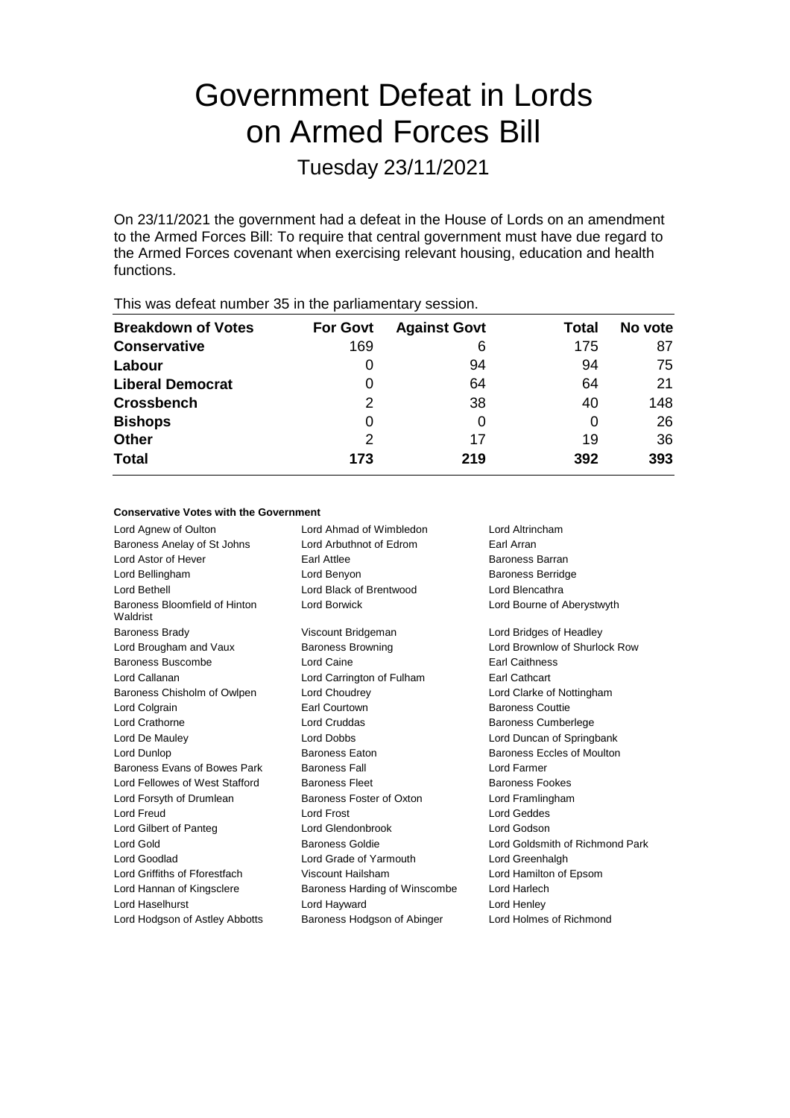# Government Defeat in Lords on Armed Forces Bill

Tuesday 23/11/2021

On 23/11/2021 the government had a defeat in the House of Lords on an amendment to the Armed Forces Bill: To require that central government must have due regard to the Armed Forces covenant when exercising relevant housing, education and health functions.

| <b>For Govt</b> | <b>Against Govt</b> | Total | No vote |
|-----------------|---------------------|-------|---------|
| 169             | 6                   | 175   | 87      |
| O               | 94                  | 94    | 75      |
| 0               | 64                  | 64    | 21      |
| 2               | 38                  | 40    | 148     |
| 0               |                     | 0     | 26      |
| 2               | 17                  | 19    | 36      |
| 173             | 219                 | 392   | 393     |
|                 |                     |       |         |

#### This was defeat number 35 in the parliamentary session.

#### **Conservative Votes with the Government**

| Lord Agnew of Oulton                      | Lord Ahmad of Wimbledon       | Lord Altrincham                 |  |
|-------------------------------------------|-------------------------------|---------------------------------|--|
| Baroness Anelay of St Johns               | Lord Arbuthnot of Edrom       | Earl Arran                      |  |
| Lord Astor of Hever                       | Earl Attlee                   | Baroness Barran                 |  |
| Lord Bellingham                           | Lord Benyon                   | <b>Baroness Berridge</b>        |  |
| Lord Bethell                              | Lord Black of Brentwood       | Lord Blencathra                 |  |
| Baroness Bloomfield of Hinton<br>Waldrist | Lord Borwick                  | Lord Bourne of Aberystwyth      |  |
| <b>Baroness Brady</b>                     | Viscount Bridgeman            | Lord Bridges of Headley         |  |
| Lord Brougham and Vaux                    | <b>Baroness Browning</b>      | Lord Brownlow of Shurlock Row   |  |
| Baroness Buscombe                         | Lord Caine                    | <b>Earl Caithness</b>           |  |
| Lord Callanan                             | Lord Carrington of Fulham     | Earl Cathcart                   |  |
| Baroness Chisholm of Owlpen               | Lord Choudrey                 | Lord Clarke of Nottingham       |  |
| Lord Colgrain                             | Earl Courtown                 | <b>Baroness Couttie</b>         |  |
| <b>Lord Crathorne</b>                     | Lord Cruddas                  | <b>Baroness Cumberlege</b>      |  |
| Lord De Mauley                            | <b>Lord Dobbs</b>             | Lord Duncan of Springbank       |  |
| Lord Dunlop                               | Baroness Eaton                | Baroness Eccles of Moulton      |  |
| Baroness Evans of Bowes Park              | <b>Baroness Fall</b>          | Lord Farmer                     |  |
| Lord Fellowes of West Stafford            | <b>Baroness Fleet</b>         | <b>Baroness Fookes</b>          |  |
| Lord Forsyth of Drumlean                  | Baroness Foster of Oxton      | Lord Framlingham                |  |
| Lord Freud                                | Lord Frost                    | <b>Lord Geddes</b>              |  |
| Lord Gilbert of Panteg                    | Lord Glendonbrook             | Lord Godson                     |  |
| <b>Lord Gold</b>                          | <b>Baroness Goldie</b>        | Lord Goldsmith of Richmond Park |  |
| Lord Goodlad                              | Lord Grade of Yarmouth        | Lord Greenhalgh                 |  |
| Lord Griffiths of Fforestfach             | Viscount Hailsham             | Lord Hamilton of Epsom          |  |
| Lord Hannan of Kingsclere                 | Baroness Harding of Winscombe | Lord Harlech                    |  |
| Lord Haselhurst                           | Lord Hayward                  | Lord Henley                     |  |
| Lord Hodgson of Astley Abbotts            | Baroness Hodgson of Abinger   | Lord Holmes of Richmond         |  |
|                                           |                               |                                 |  |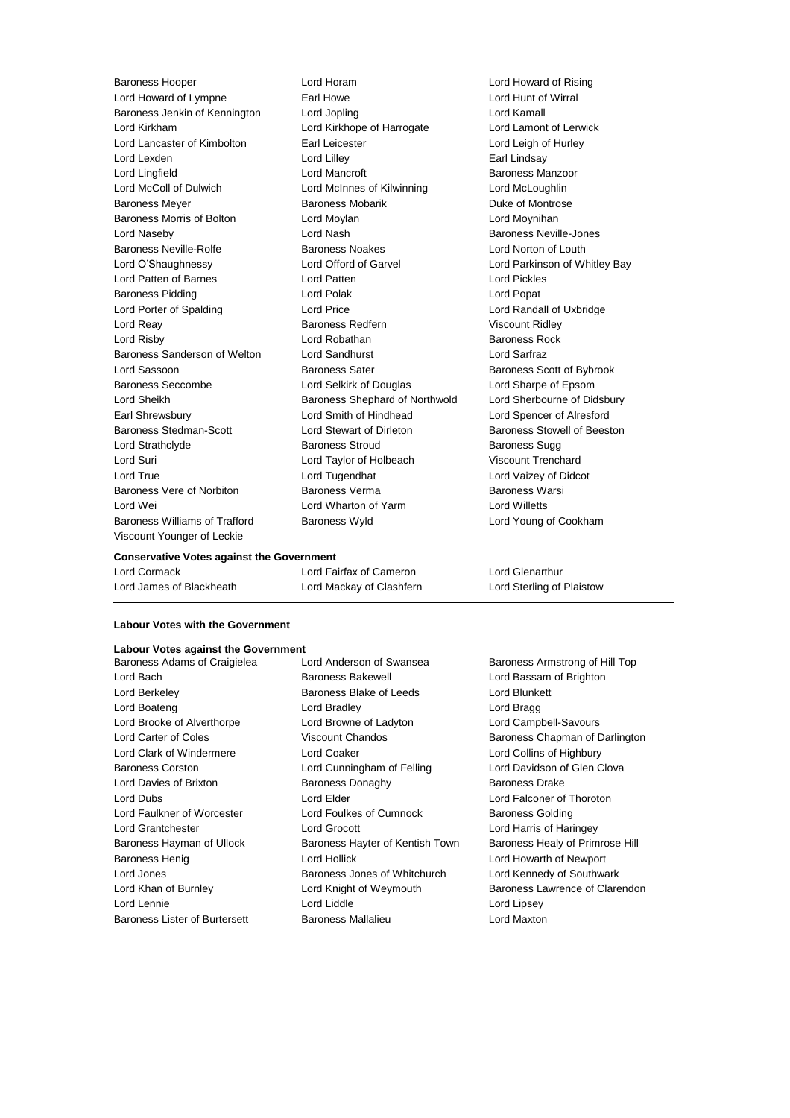Lord Howard of Lympne Earl Howe Lord Hunt of Wirral Baroness Jenkin of Kennington Lord Jopling Lord Kamall Lord Kirkham Lord Kirkhope of Harrogate Lord Lamont of Lerwick Lord Lancaster of Kimbolton Earl Leicester Lord Leigh of Hurley Lord Lexden **Lord Lilley** Lord Lilley **Communical** Lord Lilley Lord Lingfield **Lord Mancroft Lord Mancroft** Baroness Manzoor Lord McColl of Dulwich Lord McInnes of Kilwinning Lord McLoughlin Baroness Meyer **Baroness Mobarik Communist Communist Communist Communist Communist Communist Communist Communist Communist Communist Communist Communist Communist Communist Communist Communist Communist Communist Communist** Baroness Morris of Bolton **Lord Moylan** Lord Moyning Lord Moyninan Lord Naseby **Lord Nash Baroness Neville-Jones** Baroness Neville-Rolfe **Baroness Noakes** Lord Norton of Louth Lord O'Shaughnessy Lord Offord of Garvel Lord Parkinson of Whitley Bay Lord Patten of Barnes Lord Patten Lord Pickles Baroness Pidding **Lord Polak Lord Polace Lord Popat** Lord Popat Lord Porter of Spalding Lord Price Lord Randall of Uxbridge Lord Reay **Baroness Redfern** Viscount Ridley Lord Risby **Lord Robathan** Baroness Rock Baroness Sanderson of Welton Lord Sandhurst Lord Sarfraz Lord Sassoon **Baroness Sater** Baroness Sater **Baroness** Scott of Bybrook Baroness Seccombe Lord Selkirk of Douglas Lord Sharpe of Epsom Lord Sheikh Baroness Shephard of Northwold Lord Sherbourne of Didsbury Earl Shrewsbury Lord Smith of Hindhead Lord Spencer of Alresford Baroness Stedman-Scott **Lord Stewart of Dirleton** Baroness Stowell of Beeston Lord Strathclyde **Baroness Stroud** Baroness Sugg Lord Suri Lord Taylor of Holbeach Viscount Trenchard Lord True Lord Tugendhat Lord Vaizey of Didcot Baroness Vere of Norbiton **Baroness Verma** Baroness Warsi Lord Wei Lord Wharton of Yarm Lord Willetts Baroness Williams of Trafford Baroness Wyld Lord Young of Cookham Viscount Younger of Leckie

Baroness Hooper Lord Horam Lord Howard of Rising

#### **Conservative Votes against the Government**

| Lord Cormack             | Lord Fairfax of Cameron  | Lord Glenarthur           |
|--------------------------|--------------------------|---------------------------|
| Lord James of Blackheath | Lord Mackay of Clashfern | Lord Sterling of Plaistow |

#### **Labour Votes with the Government**

### **Labour Votes against the Government**<br>Baroness Adams of Craigielea **Lord Anderson of Swansea**

Lord Bach Baroness Bakewell Lord Bassam of Brighton Lord Berkeley **Baroness Blake of Leeds** Lord Blunkett Lord Boateng **Lord Bradley** Cord Bradley **Lord Bragg** Lord Brooke of Alverthorpe Lord Browne of Ladyton Lord Campbell-Savours Lord Carter of Coles **Viscount Chandos** Baroness Chapman of Darlington Lord Clark of Windermere Lord Coaker Lord Collins of Highbury Baroness Corston Lord Cunningham of Felling Lord Davidson of Glen Clova Lord Davies of Brixton Baroness Donaghy Baroness Drake Lord Dubs Lord Elder Lord Falconer of Thoroton Lord Faulkner of Worcester **Lord Foulkes of Cumnock** Baroness Golding Lord Grantchester Lord Grocott Lord Harris of Haringey Baroness Hayman of Ullock Baroness Hayter of Kentish Town Baroness Healy of Primrose Hill Baroness Henig Lord Hollick Lord Howarth of Newport Lord Jones **Baroness Jones of Whitchurch** Lord Kennedy of Southwark Lord Khan of Burnley **Lord Knight of Weymouth Baroness Lawrence of Clarendon** Lord Lennie Lord Liddle Lord Lipsey Baroness Lister of Burtersett Baroness Mallalieu Lord Maxton

Baroness Adams of Craigielea Lord Anderson of Swansea Baroness Armstrong of Hill Top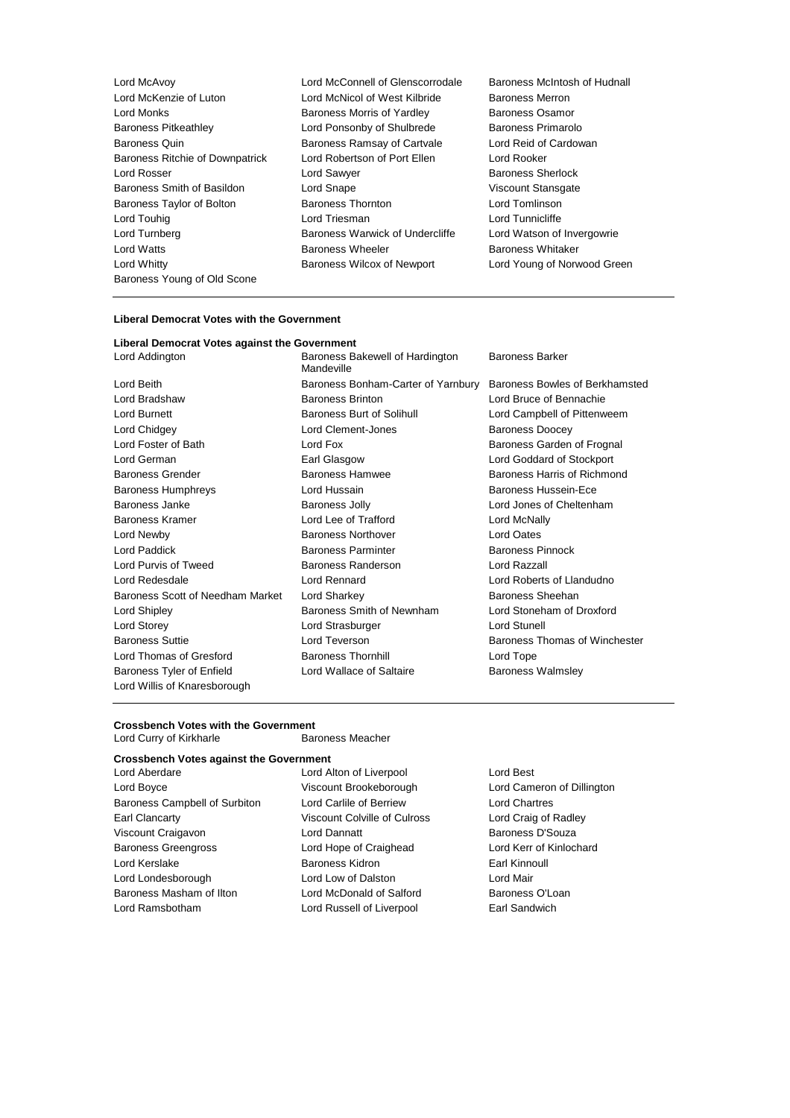- Lord McAvoy Lord McConnell of Glenscorrodale Baroness McIntosh of Hudnall Lord McKenzie of Luton Lord McNicol of West Kilbride Baroness Merron<br>
Lord Monks Charles Baroness Morris of Yardlev Baroness Osamor Lord Monks<br>
Baroness Pitkeathley 
Baroness Polynomics Corresponding the Corresponding Corresponding Corresponding Corresponding Corresponding Corresponding Baroness Primarolo<br>
Lord Ponsonby of Shulbrede Baroness Primarolo Baroness Pitkeathley **Lord Ponsonby of Shulbrede** Baroness Quin **Baroness Ramsay of Cartvale** Lord Reid of Cardowan Baroness Ritchie of Downpatrick Lord Robertson of Port Ellen Lord Rooker Lord Rosser **Lord Sawyer Baroness Sherlock** Baroness Smith of Basildon Lord Snape Communication Niscount Stansgate Baroness Taylor of Bolton **Baroness Thornton** Baroness Thornton **Lord Tomlinson** Lord Touhig **Lord Triesman** Lord Triesman **Lord Tunnicliffe** Lord Turnberg **Baroness Warwick of Undercliffe** Lord Watson of Invergowrie Lord Watts **Baroness Wheeler** Baroness Wheeler **Baroness Whitaker** Lord Whitty Baroness Wilcox of Newport Lord Young of Norwood Green Baroness Young of Old Scone
	-
- 

#### **Liberal Democrat Votes with the Government**

|  | Liberal Democrat Votes against the Government |  |
|--|-----------------------------------------------|--|
|--|-----------------------------------------------|--|

| Lord Addington                                            | Baroness Bakewell of Hardington<br>Mandeville | Baroness Barker                |  |
|-----------------------------------------------------------|-----------------------------------------------|--------------------------------|--|
| Lord Beith                                                | Baroness Bonham-Carter of Yarnbury            | Baroness Bowles of Berkhamsted |  |
| Lord Bradshaw                                             | <b>Baroness Brinton</b>                       | Lord Bruce of Bennachie        |  |
| Lord Burnett                                              | Baroness Burt of Solihull                     | Lord Campbell of Pittenweem    |  |
| Lord Chidgey                                              | Lord Clement-Jones                            | <b>Baroness Doocey</b>         |  |
| Lord Foster of Bath                                       | Lord Fox                                      | Baroness Garden of Frognal     |  |
| Lord German                                               | Earl Glasgow                                  | Lord Goddard of Stockport      |  |
| <b>Baroness Grender</b>                                   | Baroness Hamwee                               | Baroness Harris of Richmond    |  |
| <b>Baroness Humphreys</b>                                 | Lord Hussain                                  | Baroness Hussein-Ece           |  |
| Baroness Janke                                            | Baroness Jolly                                | Lord Jones of Cheltenham       |  |
| <b>Baroness Kramer</b>                                    | Lord Lee of Trafford                          | Lord McNally                   |  |
| Lord Newby                                                | <b>Baroness Northover</b>                     | <b>Lord Oates</b>              |  |
| Lord Paddick                                              | <b>Baroness Parminter</b>                     | <b>Baroness Pinnock</b>        |  |
| Lord Purvis of Tweed                                      | Baroness Randerson                            | Lord Razzall                   |  |
| Lord Redesdale                                            | Lord Rennard                                  | Lord Roberts of Llandudno      |  |
| Baroness Scott of Needham Market                          | Lord Sharkey                                  | Baroness Sheehan               |  |
| Lord Shipley                                              | Baroness Smith of Newnham                     | Lord Stoneham of Droxford      |  |
| Lord Storey                                               | Lord Strasburger                              | Lord Stunell                   |  |
| <b>Baroness Suttie</b>                                    | Lord Teverson                                 | Baroness Thomas of Winchester  |  |
| Lord Thomas of Gresford                                   | <b>Baroness Thornhill</b>                     | Lord Tope                      |  |
| Baroness Tyler of Enfield<br>Lord Willis of Knaresborough | Lord Wallace of Saltaire                      | <b>Baroness Walmsley</b>       |  |
|                                                           |                                               |                                |  |

#### **Crossbench Votes with the Government**

Lord Curry of Kirkharle **Baroness Meacher** 

#### **Crossbench Votes against the Government**

Lord Boyce Viscount Brookeborough Lord Cameron of Dillington Baroness Campbell of Surbiton Lord Carlile of Berriew Lord Chartres Earl Clancarty Viscount Colville of Culross Lord Craig of Radley Viscount Craigavon **Lord Dannatt Baroness D'Souza** Baroness Greengross Lord Hope of Craighead Lord Kerr of Kinlochard Lord Kerslake **Baroness Kidron** Baroness Kidron Earl Kinnoull Lord Londesborough Lord Low of Dalston Lord Lord Mair<br>
Baroness Masham of Ilton Lord McDonald of Salford Baroness O'Loan Baroness Masham of Ilton Lord McDonald of Salford

Lord Aberdare Lord Alton of Liverpool Lord Best Lord Ramsbotham Lord Russell of Liverpool Earl Sandwich